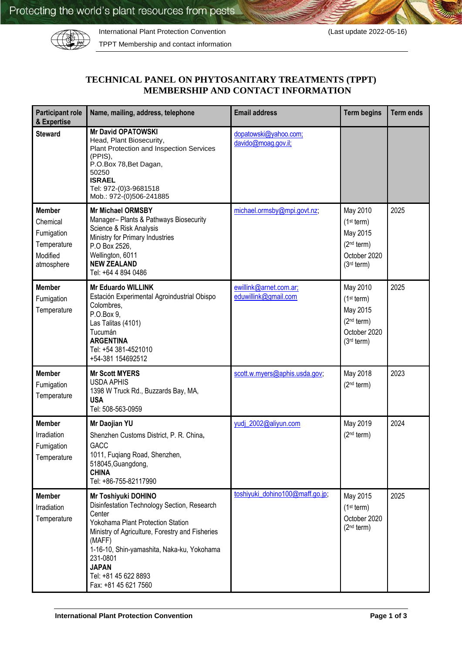

International Plant Protection Convention (Last update 2022-05-16)

TPPT Membership and contact information

## **TECHNICAL PANEL ON PHYTOSANITARY TREATMENTS (TPPT) MEMBERSHIP AND CONTACT INFORMATION**

| <b>Participant role</b><br>& Expertise                                           | Name, mailing, address, telephone                                                                                                                                                                                                                                                                        | <b>Email address</b>                           | <b>Term begins</b>                                                                                                 | <b>Term ends</b> |
|----------------------------------------------------------------------------------|----------------------------------------------------------------------------------------------------------------------------------------------------------------------------------------------------------------------------------------------------------------------------------------------------------|------------------------------------------------|--------------------------------------------------------------------------------------------------------------------|------------------|
| <b>Steward</b>                                                                   | <b>Mr David OPATOWSKI</b><br>Head, Plant Biosecurity,<br>Plant Protection and Inspection Services<br>(PPIS),<br>P.O.Box 78, Bet Dagan,<br>50250<br><b>ISRAEL</b><br>Tel: 972-(0)3-9681518<br>Mob.: 972-(0)506-241885                                                                                     | dopatowski@yahoo.com;<br>davido@moag.gov.il;   |                                                                                                                    |                  |
| <b>Member</b><br>Chemical<br>Fumigation<br>Temperature<br>Modified<br>atmosphere | <b>Mr Michael ORMSBY</b><br>Manager- Plants & Pathways Biosecurity<br>Science & Risk Analysis<br>Ministry for Primary Industries<br>P.O Box 2526,<br>Wellington, 6011<br><b>NEW ZEALAND</b><br>Tel: +64 4 894 0486                                                                                       | michael.ormsby@mpi.govt.nz;                    | May 2010<br>(1 <sup>st</sup> term)<br>May 2015<br>(2 <sup>nd</sup> term)<br>October 2020<br>(3 <sup>rd</sup> term) | 2025             |
| <b>Member</b><br>Fumigation<br>Temperature                                       | <b>Mr Eduardo WILLINK</b><br>Estación Experimental Agroindustrial Obispo<br>Colombres,<br>P.O.Box 9,<br>Las Talitas (4101)<br>Tucumán<br><b>ARGENTINA</b><br>Tel: +54 381-4521010<br>+54-381 154692512                                                                                                   | ewillink@arnet.com.ar;<br>eduwillink@gmail.com | May 2010<br>(1 <sup>st</sup> term)<br>May 2015<br>(2 <sup>nd</sup> term)<br>October 2020<br>(3 <sup>rd</sup> term) | 2025             |
| <b>Member</b><br>Fumigation<br>Temperature                                       | <b>Mr Scott MYERS</b><br><b>USDA APHIS</b><br>1398 W Truck Rd., Buzzards Bay, MA,<br><b>USA</b><br>Tel: 508-563-0959                                                                                                                                                                                     | scott.w.myers@aphis.usda.gov;                  | May 2018<br>(2 <sup>nd</sup> term)                                                                                 | 2023             |
| <b>Member</b><br>Irradiation<br>Fumigation<br>Temperature                        | Mr Daojian YU<br>Shenzhen Customs District, P. R. China,<br>GACC<br>1011, Fuqiang Road, Shenzhen,<br>518045, Guangdong,<br><b>CHINA</b><br>Tel: +86-755-82117990                                                                                                                                         | yudj 2002@aliyun.com                           | May 2019<br>(2 <sup>nd</sup> term)                                                                                 | 2024             |
| <b>Member</b><br>Irradiation<br>Temperature                                      | Mr Toshiyuki DOHINO<br>Disinfestation Technology Section, Research<br>Center<br>Yokohama Plant Protection Station<br>Ministry of Agriculture, Forestry and Fisheries<br>(MAFF)<br>1-16-10, Shin-yamashita, Naka-ku, Yokohama<br>231-0801<br><b>JAPAN</b><br>Tel: +81 45 622 8893<br>Fax: +81 45 621 7560 | toshiyuki dohino100@maff.go.jp;                | May 2015<br>(1 <sup>st</sup> term)<br>October 2020<br>(2 <sup>nd</sup> term)                                       | 2025             |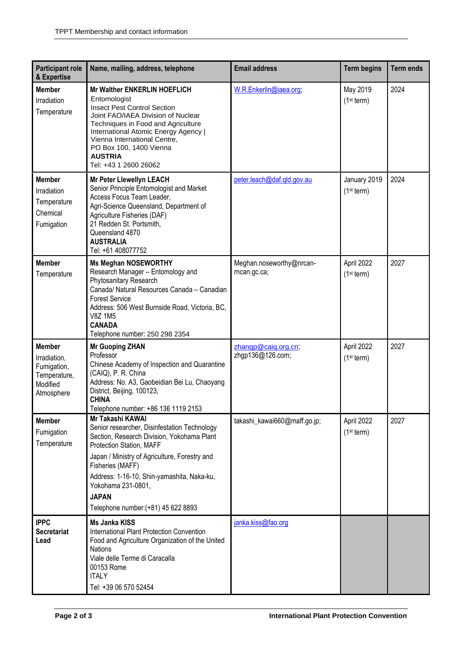| <b>Participant role</b><br>& Expertise                                                 | Name, mailing, address, telephone                                                                                                                                                                                                                                                                                                          | <b>Email address</b>                     | <b>Term begins</b>                     | <b>Term ends</b> |
|----------------------------------------------------------------------------------------|--------------------------------------------------------------------------------------------------------------------------------------------------------------------------------------------------------------------------------------------------------------------------------------------------------------------------------------------|------------------------------------------|----------------------------------------|------------------|
| <b>Member</b><br>Irradiation<br>Temperature                                            | Mr Walther ENKERLIN HOEFLICH<br>Entomologist<br><b>Insect Pest Control Section</b><br>Joint FAO/IAEA Division of Nuclear<br>Techniques in Food and Agriculture<br>International Atomic Energy Agency  <br>Vienna International Centre,<br>PO Box 100, 1400 Vienna<br><b>AUSTRIA</b><br>Tel: +43 1 2600 26062                               | W.R.Enkerlin@iaea.org;                   | May 2019<br>(1 <sup>st</sup> term)     | 2024             |
| <b>Member</b><br>Irradiation<br>Temperature<br>Chemical<br>Fumigation                  | Mr Peter Llewellyn LEACH<br>Senior Principle Entomologist and Market<br>Access Focus Team Leader,<br>Agri-Science Queensland, Department of<br>Agriculture Fisheries (DAF)<br>21 Redden St. Portsmith,<br>Queensland 4870<br><b>AUSTRALIA</b><br>Tel: +61 408077752                                                                        | peter.leach@daf.qld.gov.au               | January 2019<br>(1 <sup>st</sup> term) | 2024             |
| <b>Member</b><br>Temperature                                                           | <b>Ms Meghan NOSEWORTHY</b><br>Research Manager - Entomology and<br>Phytosanitary Research<br>Canada/ Natural Resources Canada - Canadian<br><b>Forest Service</b><br>Address: 506 West Burnside Road, Victoria, BC,<br><b>V8Z 1M5</b><br><b>CANADA</b><br>Telephone number: 250 298 2354                                                  | Meghan.noseworthy@nrcan-<br>rncan.gc.ca; | April 2022<br>(1 <sup>st</sup> term)   | 2027             |
| <b>Member</b><br>Irradiation,<br>Fumigation,<br>Temperature,<br>Modified<br>Atmosphere | <b>Mr Guoping ZHAN</b><br>Professor<br>Chinese Academy of Inspection and Quarantine<br>(CAIQ), P. R. China<br>Address: No. A3, Gaobeidian Bei Lu, Chaoyang<br>District, Beijing, 100123,<br><b>CHINA</b><br>Telephone number: +86 136 1119 2153                                                                                            | zhangp@caiq.org.cn;<br>zhgp136@126.com;  | April 2022<br>(1 <sup>st</sup> term)   | 2027             |
| <b>Member</b><br>Fumigation<br>Temperature                                             | Mr Takashi KAWAI<br>Senior researcher, Disinfestation Technology<br>Section, Research Division, Yokohama Plant<br>Protection Station, MAFF<br>Japan / Ministry of Agriculture, Forestry and<br>Fisheries (MAFF)<br>Address: 1-16-10, Shin-yamashita, Naka-ku,<br>Yokohama 231-0801,<br><b>JAPAN</b><br>Telephone number: (+81) 45 622 8893 | takashi_kawai660@maff.go.jp;             | April 2022<br>(1 <sup>st</sup> term)   | 2027             |
| <b>IPPC</b><br><b>Secretariat</b><br>Lead                                              | <b>Ms Janka KISS</b><br><b>International Plant Protection Convention</b><br>Food and Agriculture Organization of the United<br><b>Nations</b><br>Viale delle Terme di Caracalla<br>00153 Rome<br><b>ITALY</b><br>Tel: +39 06 570 52454                                                                                                     | janka.kiss@fao.org                       |                                        |                  |